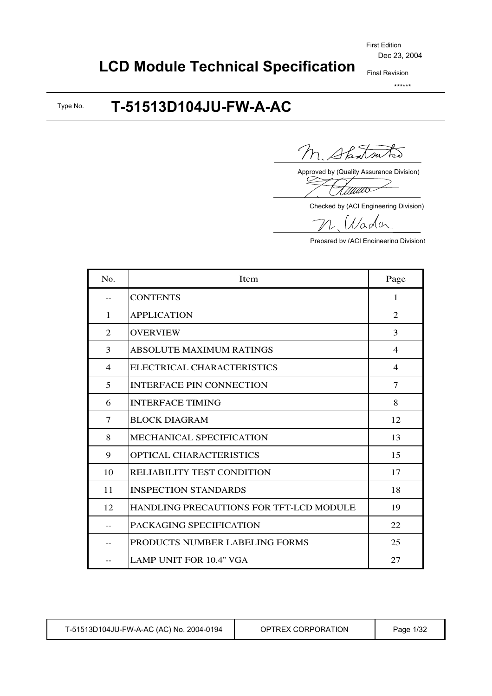# **LCD Module Technical Specification**

Final Revision \*\*\*\*\*\*

#### **T-51513D104JU-FW-A-AC** Type No.

Shatsu  $\mathcal{L}_{\mathsf{S}}$ 

Approved by (Quality Assurance Division)

<u>Tiituvo</u>

Checked by (ACI Engineering Division)

Vader

Prepared by (ACI Engineering Division)

| N <sub>0</sub> . | Item                                           | Page           |
|------------------|------------------------------------------------|----------------|
|                  | <b>CONTENTS</b>                                | 1              |
| $\mathbf{1}$     | <b>APPLICATION</b>                             | 2              |
| 2                | <b>OVERVIEW</b>                                | 3              |
| 3                | <b>ABSOLUTE MAXIMUM RATINGS</b>                | $\overline{4}$ |
| $\overline{4}$   | ELECTRICAL CHARACTERISTICS                     | $\overline{4}$ |
| 5                | <b>INTERFACE PIN CONNECTION</b>                | $\tau$         |
| 6                | <b>INTERFACE TIMING</b>                        | 8              |
| 7                | <b>BLOCK DIAGRAM</b>                           | 12             |
| 8                | <b>MECHANICAL SPECIFICATION</b>                | 13             |
| 9                | <b>OPTICAL CHARACTERISTICS</b>                 | 15             |
| 10               | RELIABILITY TEST CONDITION                     | 17             |
| 11               | <b>INSPECTION STANDARDS</b>                    | 18             |
| 12               | <b>HANDLING PRECAUTIONS FOR TFT-LCD MODULE</b> | 19             |
|                  | PACKAGING SPECIFICATION                        | 22             |
|                  | PRODUCTS NUMBER LABELING FORMS                 | 25             |
|                  | <b>LAMP UNIT FOR 10.4" VGA</b>                 | 27             |

|  | T-51513D104JU-FW-A-AC (AC) No. 2004-0194 | OPTREX CORPORATION | Page 1/32 |
|--|------------------------------------------|--------------------|-----------|
|--|------------------------------------------|--------------------|-----------|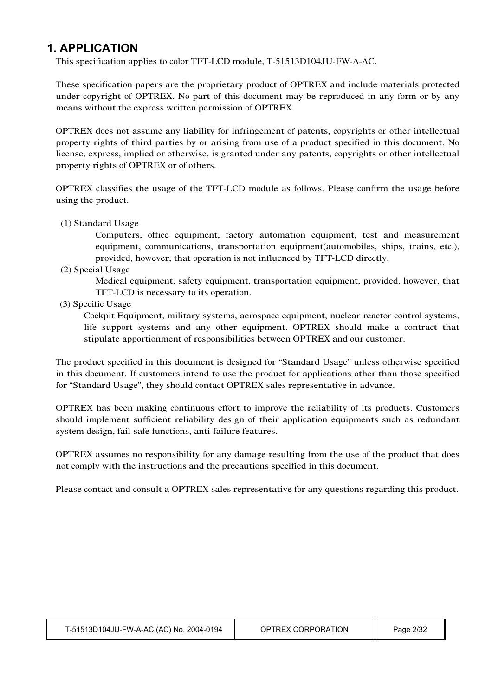## **1. APPLICATION**

This specification applies to color TFT-LCD module, T-51513D104JU-FW-A-AC.

These specification papers are the proprietary product of OPTREX and include materials protected under copyright of OPTREX. No part of this document may be reproduced in any form or by any means without the express written permission of OPTREX.

OPTREX does not assume any liability for infringement of patents, copyrights or other intellectual property rights of third parties by or arising from use of a product specified in this document. No license, express, implied or otherwise, is granted under any patents, copyrights or other intellectual property rights of OPTREX or of others.

OPTREX classifies the usage of the TFT-LCD module as follows. Please confirm the usage before using the product.

(1) Standard Usage

Computers, office equipment, factory automation equipment, test and measurement equipment, communications, transportation equipment(automobiles, ships, trains, etc.), provided, however, that operation is not influenced by TFT-LCD directly.

(2) Special Usage

Medical equipment, safety equipment, transportation equipment, provided, however, that TFT-LCD is necessary to its operation.

(3) Specific Usage

Cockpit Equipment, military systems, aerospace equipment, nuclear reactor control systems, life support systems and any other equipment. OPTREX should make a contract that stipulate apportionment of responsibilities between OPTREX and our customer.

The product specified in this document is designed for "Standard Usage" unless otherwise specified in this document. If customers intend to use the product for applications other than those specified for "Standard Usage", they should contact OPTREX sales representative in advance.

OPTREX has been making continuous effort to improve the reliability of its products. Customers should implement sufficient reliability design of their application equipments such as redundant system design, fail-safe functions, anti-failure features.

OPTREX assumes no responsibility for any damage resulting from the use of the product that does not comply with the instructions and the precautions specified in this document.

Please contact and consult a OPTREX sales representative for any questions regarding this product.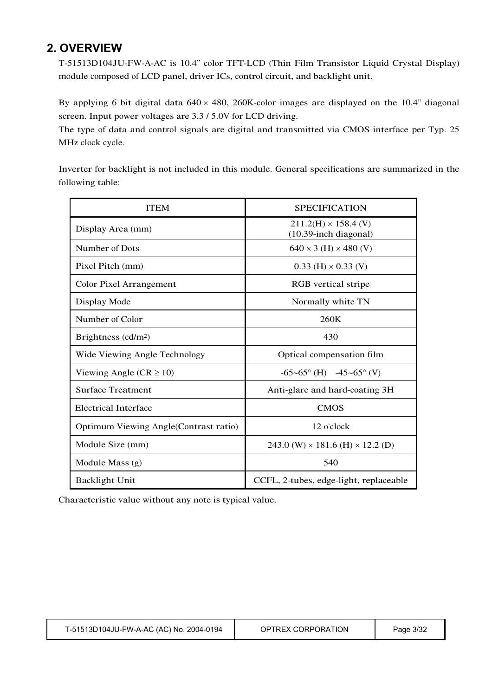## **2. OVERVIEW**

T-51513D104JU-FW-A-AC is 10.4" color TFT-LCD (Thin Film Transistor Liquid Crystal Display) module composed of LCD panel, driver ICs, control circuit, and backlight unit.

By applying 6 bit digital data  $640 \times 480$ , 260K-color images are displayed on the 10.4" diagonal screen. Input power voltages are 3.3 / 5.0V for LCD driving.

The type of data and control signals are digital and transmitted via CMOS interface per Typ. 25 MHz clock cycle.

Inverter for backlight is not included in this module. General specifications are summarized in the following table:

| <b>ITEM</b>                           | <b>SPECIFICATION</b>                                 |
|---------------------------------------|------------------------------------------------------|
| Display Area (mm)                     | $211.2(H) \times 158.4$ (V)<br>(10.39-inch diagonal) |
| Number of Dots                        | $640 \times 3$ (H) $\times$ 480 (V)                  |
| Pixel Pitch (mm)                      | $0.33$ (H) $\times$ 0.33 (V)                         |
| <b>Color Pixel Arrangement</b>        | RGB vertical stripe                                  |
| Display Mode                          | Normally white TN                                    |
| Number of Color                       | 260K                                                 |
| Brightness $(cd/m2)$                  | 430                                                  |
| Wide Viewing Angle Technology         | Optical compensation film                            |
| Viewing Angle ( $CR \ge 10$ )         | $-65-65^{\circ}$ (H) $-45-65^{\circ}$ (V)            |
| <b>Surface Treatment</b>              | Anti-glare and hard-coating 3H                       |
| <b>Electrical Interface</b>           | <b>CMOS</b>                                          |
| Optimum Viewing Angle(Contrast ratio) | $12$ o'clock                                         |
| Module Size (mm)                      | 243.0 (W) $\times$ 181.6 (H) $\times$ 12.2 (D)       |
| Module Mass $(g)$                     | 540                                                  |
| <b>Backlight Unit</b>                 | CCFL, 2-tubes, edge-light, replaceable               |

Characteristic value without any note is typical value.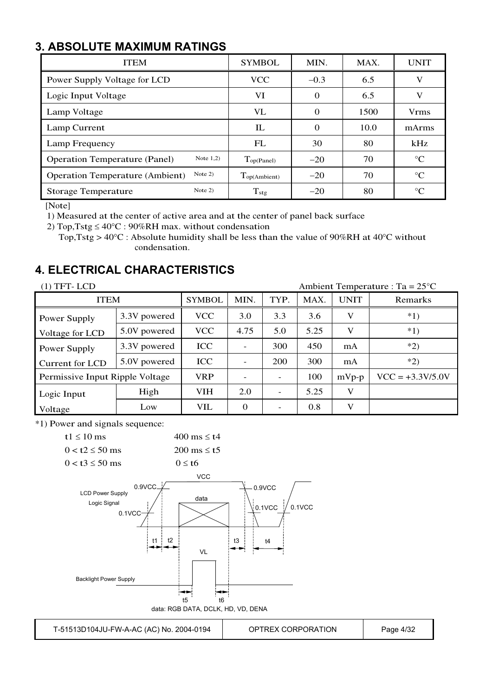## **3. ABSOLUTE MAXIMUM RATINGS**

| <b>ITEM</b>                                         | <b>SYMBOL</b>     | MIN.     | MAX. | <b>UNIT</b>     |
|-----------------------------------------------------|-------------------|----------|------|-----------------|
| Power Supply Voltage for LCD                        | <b>VCC</b>        | $-0.3$   | 6.5  | V               |
| Logic Input Voltage                                 | VI                | $\Omega$ | 6.5  | V               |
| Lamp Voltage                                        | <b>VL</b>         | $\Omega$ | 1500 | <b>Vrms</b>     |
| Lamp Current                                        | IL                | $\Omega$ | 10.0 | mArms           |
| Lamp Frequency                                      | FL                | 30       | 80   | kHz             |
| Note $1,2)$<br><b>Operation Temperature (Panel)</b> | Top(Panel)        | $-20$    | 70   | $\rm ^{\circ}C$ |
| Note $2)$<br><b>Operation Temperature (Ambient)</b> | $T_{op(Ambient)}$ | $-20$    | 70   | $\rm ^{\circ}C$ |
| Note $2)$<br><b>Storage Temperature</b>             | $T_{\text{stg}}$  | $-20$    | 80   | $\rm ^{\circ}C$ |

[Note]

1) Measured at the center of active area and at the center of panel back surface

2) Top, Tstg  $\leq 40^{\circ}$ C : 90%RH max. without condensation

Top, Tstg >  $40^{\circ}$ C : Absolute humidity shall be less than the value of 90%RH at 40°C without condensation.

## **4. ELECTRICAL CHARACTERISTICS**

| $(1)$ TFT-LCD<br>Ambient Temperature : Ta = $25^{\circ}$ C |              |               |                          |      |         |                    |         |  |  |
|------------------------------------------------------------|--------------|---------------|--------------------------|------|---------|--------------------|---------|--|--|
| <b>ITEM</b>                                                |              | <b>SYMBOL</b> | MIN.                     | TYP. | MAX.    | <b>UNIT</b>        | Remarks |  |  |
| Power Supply                                               | 3.3V powered | <b>VCC</b>    | 3.0                      | 3.3  | 3.6     | V                  | $*1)$   |  |  |
| Voltage for LCD                                            | 5.0V powered | <b>VCC</b>    | 4.75                     | 5.0  | 5.25    | V                  | $*1)$   |  |  |
| Power Supply                                               | 3.3V powered | <b>ICC</b>    |                          | 300  | 450     | mA                 | $*2)$   |  |  |
| Current for LCD                                            | 5.0V powered | <b>ICC</b>    |                          | 200  | 300     | mA                 | $*2)$   |  |  |
| Permissive Input Ripple Voltage                            | <b>VRP</b>   |               | $\overline{\phantom{a}}$ | 100  | $mVp-p$ | $VCC = +3.3V/5.0V$ |         |  |  |
| Logic Input                                                | High         | <b>VIH</b>    | 2.0                      |      | 5.25    | V                  |         |  |  |
| Voltage                                                    | Low          | VIL           | $\Omega$                 |      | 0.8     | V                  |         |  |  |

\*1) Power and signals sequence:



T-51513D104JU-FW-A-AC (AC) No. 2004-0194 OPTREX CORPORATION Page 4/32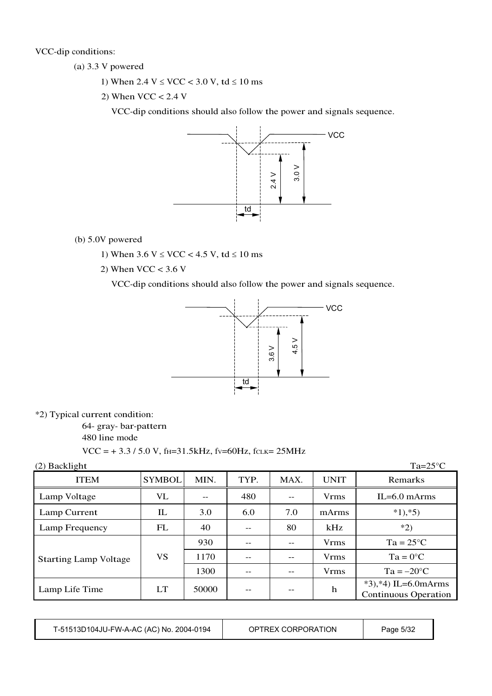VCC-dip conditions:

- (a) 3.3 V powered
	- 1) When  $2.4 \text{ V} \leq \text{VCC} < 3.0 \text{ V}$ , td  $\leq 10 \text{ ms}$
	- 2) When  $VCC < 2.4$  V

VCC-dip conditions should also follow the power and signals sequence.



- (b) 5.0V powered
	- 1) When  $3.6 \text{ V} \leq \text{VCC} < 4.5 \text{ V}$ , td  $\leq 10 \text{ ms}$
	- 2) When  $VCC < 3.6$  V

VCC-dip conditions should also follow the power and signals sequence.



\*2) Typical current condition:

64- gray- bar-pattern

480 line mode

 $VCC = +3.3 / 5.0 V$ , f<sub>H</sub>=31.5kHz, f<sub>V</sub>=60Hz, f<sub>CLK</sub>= 25MHz

| (2) Backlight                |               |       |      |      |             | $Ta=25^{\circ}C$                                      |
|------------------------------|---------------|-------|------|------|-------------|-------------------------------------------------------|
| <b>ITEM</b>                  | <b>SYMBOL</b> | MIN.  | TYP. | MAX. | <b>UNIT</b> | Remarks                                               |
| Lamp Voltage                 | VL            |       | 480  |      | <b>Vrms</b> | $IL=6.0$ mArms                                        |
| Lamp Current                 | $_{\rm IL}$   | 3.0   | 6.0  | 7.0  | mArms       | $*1, *5)$                                             |
| Lamp Frequency               | FL            | 40    |      | 80   | kHz         | $*2)$                                                 |
|                              |               | 930   |      | --   | <b>Vrms</b> | $Ta = 25^{\circ}C$                                    |
| <b>Starting Lamp Voltage</b> | VS            | 1170  |      | --   | <b>Vrms</b> | $Ta = 0^{\circ}C$                                     |
|                              |               | 1300  |      | --   | <b>Vrms</b> | $Ta = -20°C$                                          |
| Lamp Life Time               | LT            | 50000 | --   | --   | h           | $*3, *4$ ) IL=6.0mArms<br><b>Continuous Operation</b> |

| T-51513D104JU-FW-A-AC (AC) No. 2004-0194 | OPTREX CORPORATION | Page 5/32 |
|------------------------------------------|--------------------|-----------|
|------------------------------------------|--------------------|-----------|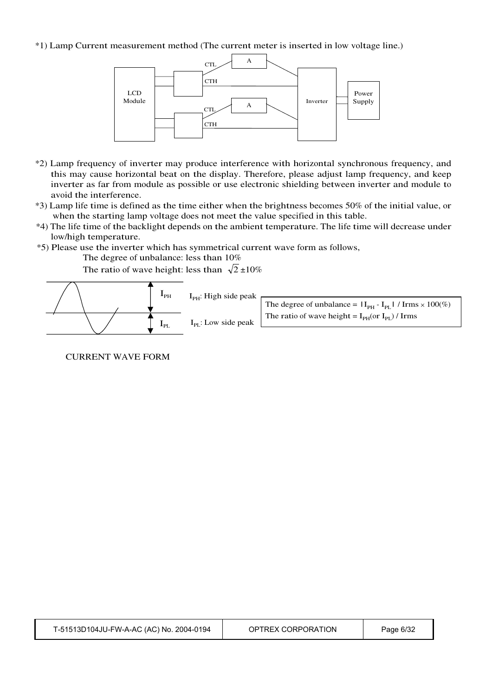#### \*1) Lamp Current measurement method (The current meter is inserted in low voltage line.)



- \*2) Lamp frequency of inverter may produce interference with horizontal synchronous frequency, and this may cause horizontal beat on the display. Therefore, please adjust lamp frequency, and keep inverter as far from module as possible or use electronic shielding between inverter and module to avoid the interference.
- \*3) Lamp life time is defined as the time either when the brightness becomes 50% of the initial value, or when the starting lamp voltage does not meet the value specified in this table.
- \*4) The life time of the backlight depends on the ambient temperature. The life time will decrease under low/high temperature.
- \*5) Please use the inverter which has symmetrical current wave form as follows,

The degree of unbalance: less than 10%

The ratio of wave height: less than  $\sqrt{2} \pm 10\%$ 



#### CURRENT WAVE FORM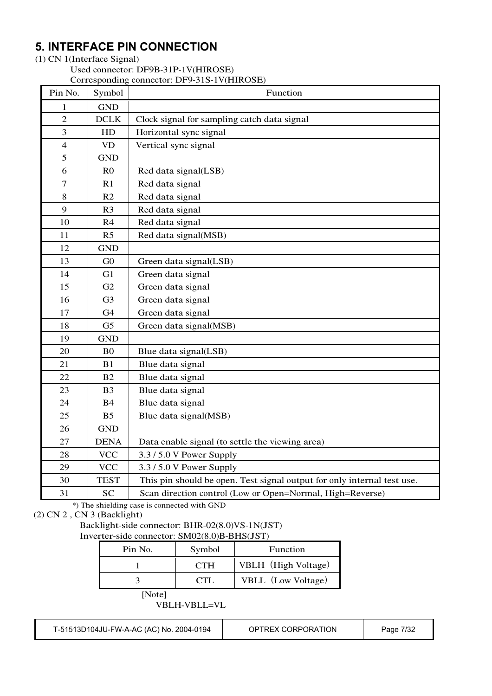## **5. INTERFACE PIN CONNECTION**

#### (1) CN 1(Interface Signal)

Used connector: DF9B-31P-1V(HIROSE)

#### Corresponding connector: DF9-31S-1V(HIROSE)

| Pin No.          | Symbol         | Function                                                                |
|------------------|----------------|-------------------------------------------------------------------------|
| 1                | <b>GND</b>     |                                                                         |
| $\mathbf{2}$     | DCLK           | Clock signal for sampling catch data signal                             |
| 3                | HD             | Horizontal sync signal                                                  |
| $\overline{4}$   | <b>VD</b>      | Vertical sync signal                                                    |
| 5                | <b>GND</b>     |                                                                         |
| 6                | R <sub>0</sub> | Red data signal(LSB)                                                    |
| $\boldsymbol{7}$ | R1             | Red data signal                                                         |
| 8                | R2             | Red data signal                                                         |
| 9                | R <sub>3</sub> | Red data signal                                                         |
| 10               | R4             | Red data signal                                                         |
| 11               | R <sub>5</sub> | Red data signal(MSB)                                                    |
| 12               | <b>GND</b>     |                                                                         |
| 13               | G <sub>0</sub> | Green data signal(LSB)                                                  |
| 14               | G1             | Green data signal                                                       |
| 15               | G2             | Green data signal                                                       |
| 16               | G <sub>3</sub> | Green data signal                                                       |
| 17               | G <sub>4</sub> | Green data signal                                                       |
| 18               | G <sub>5</sub> | Green data signal(MSB)                                                  |
| 19               | <b>GND</b>     |                                                                         |
| 20               | B <sub>0</sub> | Blue data signal(LSB)                                                   |
| 21               | B1             | Blue data signal                                                        |
| 22               | B2             | Blue data signal                                                        |
| 23               | B <sub>3</sub> | Blue data signal                                                        |
| 24               | <b>B4</b>      | Blue data signal                                                        |
| 25               | B <sub>5</sub> | Blue data signal(MSB)                                                   |
| 26               | <b>GND</b>     |                                                                         |
| 27               | <b>DENA</b>    | Data enable signal (to settle the viewing area)                         |
| 28               | <b>VCC</b>     | 3.3 / 5.0 V Power Supply                                                |
| 29               | <b>VCC</b>     | 3.3 / 5.0 V Power Supply                                                |
| 30               | <b>TEST</b>    | This pin should be open. Test signal output for only internal test use. |
| 31               | <b>SC</b>      | Scan direction control (Low or Open=Normal, High=Reverse)               |

\*) The shielding case is connected with GND

(2) CN 2 , CN 3 (Backlight)

## Backlight-side connector: BHR-02(8.0)VS-1N(JST)

Inverter-side connector: SM02(8.0)B-BHS(JST)

| Pin No. | Symbol     | Function            |
|---------|------------|---------------------|
|         | <b>CTH</b> | VBLH (High Voltage) |
|         | CTL.       | VBLL (Low Voltage)  |
| [Note]  |            |                     |

VBLH-VBLL=VL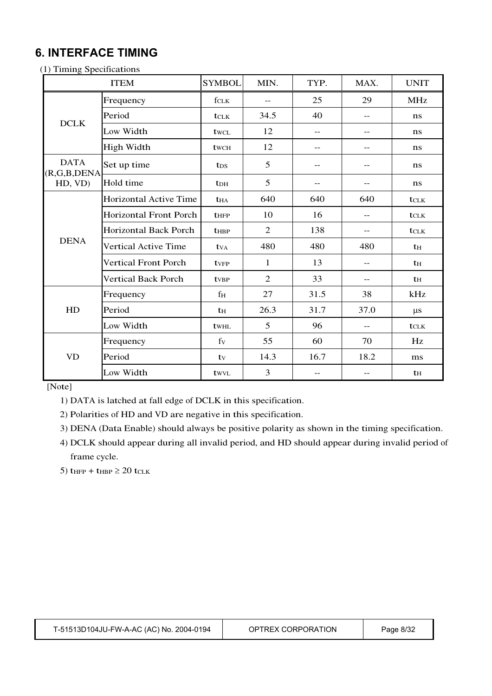## **6. INTERFACE TIMING**

(1) Timing Specifications

|                                | <b>ITEM</b>                   | <b>SYMBOL</b>          | MIN.              | TYP.  | MAX.  | <b>UNIT</b>      |
|--------------------------------|-------------------------------|------------------------|-------------------|-------|-------|------------------|
|                                | Frequency                     | fclk                   | $\qquad \qquad -$ | 25    | 29    | <b>MHz</b>       |
| <b>DCLK</b>                    | Period                        | tclk                   | 34.5              | 40    | $- -$ | ns               |
|                                | Low Width                     | twcl                   | 12                | $- -$ | $- -$ | ns               |
|                                | <b>High Width</b>             | twc <sub>H</sub>       | 12                | $-$   | $- -$ | ns               |
| <b>DATA</b><br>(R, G, B, DEMA) | Set up time                   | t <sub>DS</sub>        | 5                 | $- -$ | $- -$ | ns               |
| HD, VD)                        | Hold time                     | <b>t</b> <sub>DH</sub> | 5                 | --    |       | ns               |
|                                | Horizontal Active Time        | <b>t</b> HA            | 640               | 640   | 640   | <b>t</b> CLK     |
|                                | <b>Horizontal Front Porch</b> | <b>t</b> HFP           | 10                | 16    | $- -$ | $t_{\text{CLK}}$ |
|                                | Horizontal Back Porch         | <b>t</b> HBP           | $\overline{2}$    | 138   | $- -$ | tclk             |
| <b>DENA</b>                    | Vertical Active Time          | tv <sub>A</sub>        | 480               | 480   | 480   | th               |
|                                | <b>Vertical Front Porch</b>   | tvFP                   | 1                 | 13    | $- -$ | th               |
|                                | <b>Vertical Back Porch</b>    | tvBP                   | $\overline{2}$    | 33    | --    | th               |
|                                | Frequency                     | $f_{\rm H}$            | 27                | 31.5  | 38    | kHz              |
| HD                             | Period                        | th                     | 26.3              | 31.7  | 37.0  | $\mu s$          |
|                                | Low Width                     | twhl                   | 5                 | 96    | $-$   | tclk             |
|                                | Frequency                     | fy                     | 55                | 60    | 70    | Hz               |
| VD                             | Period                        | ty                     | 14.3              | 16.7  | 18.2  | ms               |
|                                | Low Width                     | twyl                   | 3                 | --    | --    | $t_{\rm H}$      |

[Note]

1) DATA is latched at fall edge of DCLK in this specification.

2) Polarities of HD and VD are negative in this specification.

3) DENA (Data Enable) should always be positive polarity as shown in the timing specification.

4) DCLK should appear during all invalid period, and HD should appear during invalid period of frame cycle.

5)  $t_{HFP} + t_{HBP} \ge 20$  t<sub>CLK</sub>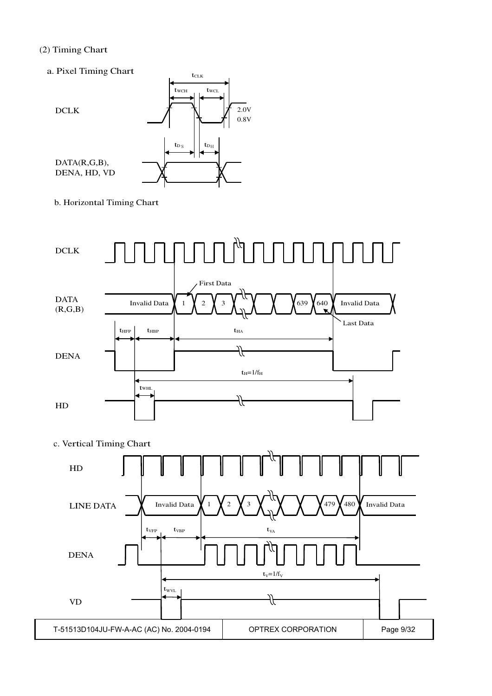#### (2) Timing Chart

a. Pixel Timing Chart



b. Horizontal Timing Chart



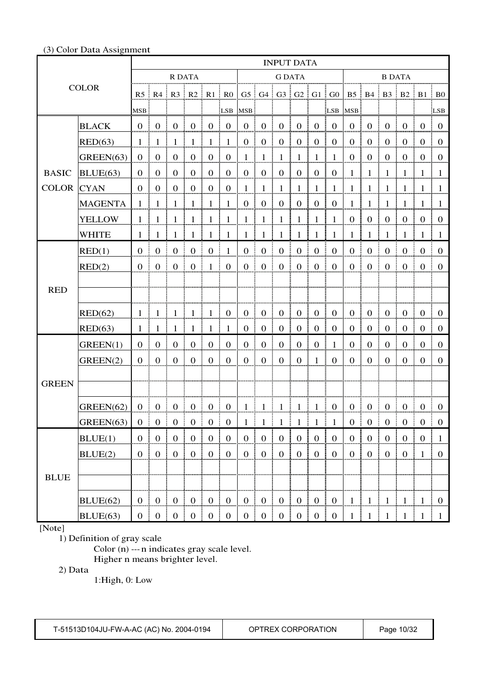#### (3) Color Data Assignment

|              |                | <b>INPUT DATA</b> |                                  |                        |                                                                       |                      |                     |                  |                         |                      |                               |                     |                                  |                  |                  |                  |                    |                             |                                  |
|--------------|----------------|-------------------|----------------------------------|------------------------|-----------------------------------------------------------------------|----------------------|---------------------|------------------|-------------------------|----------------------|-------------------------------|---------------------|----------------------------------|------------------|------------------|------------------|--------------------|-----------------------------|----------------------------------|
|              |                |                   |                                  |                        | R DATA                                                                |                      |                     |                  |                         |                      | <b>G DATA</b>                 |                     |                                  |                  |                  |                  | <b>B DATA</b>      |                             |                                  |
|              | <b>COLOR</b>   |                   |                                  |                        | $R5 \parallel R4 \parallel R3 \parallel R2 \parallel R1 \parallel R0$ |                      |                     |                  |                         |                      | $G5$ $G4$ $G3$ $G2$ $G1$ $G0$ |                     |                                  |                  |                  |                  |                    | B5   B4   B3   B2   B1   B0 |                                  |
|              |                | <b>MSB</b>        |                                  |                        |                                                                       |                      |                     | LSB MSB          |                         |                      |                               |                     | LSB                              | MSB:             |                  |                  |                    |                             | LSB                              |
|              | <b>BLACK</b>   | $\mathbf{0}$      | $\boldsymbol{0}$                 | $\boldsymbol{0}$       | $\boldsymbol{0}$                                                      | $\mathbf{0}$         | $\boldsymbol{0}$    | $\mathbf{0}$     | $\overline{0}$          | $\boldsymbol{0}$     | $\boldsymbol{0}$              | $\boldsymbol{0}$    | $\mathbf{0}$                     | $\boldsymbol{0}$ | $\boldsymbol{0}$ | $\mathbf{0}$     | $\boldsymbol{0}$   | $\overline{0}$              | $\overline{0}$                   |
|              | RED(63)        | 1                 | $\mathbf{1}$                     | 1                      | $\mathbf{1}$                                                          | $\mathbf{1}$         | 1                   | $\boldsymbol{0}$ | $\mathbf{0}$            | $\boldsymbol{0}$     | $\boldsymbol{0}$              | $\boldsymbol{0}$    | $\mathbf{0}$                     | $\boldsymbol{0}$ | $\boldsymbol{0}$ | $\mathbf{0}$     | $\boldsymbol{0}$   | $\boldsymbol{0}$            | $\mathbf{0}$                     |
|              | GREEN(63)      | $\boldsymbol{0}$  | $\mathbf{0}$                     | $\mathbf{0}$           | $\boldsymbol{0}$                                                      | $\mathbf{0}$         | $\mathbf 0$         | 1                | $\mathbf{1}$            | $\mathbf{1}$         | $\mathbf{1}$                  | 1                   | $\mathbf{1}$                     | $\theta$         | $\boldsymbol{0}$ | $\mathbf{0}$     | $\boldsymbol{0}$   | $\overline{0}$              | $\mathbf{0}$                     |
| <b>BASIC</b> | BLUE(63)       | $\mathbf{0}$      | $\mathbf{0}$                     | $\Omega$               | $\mathbf{0}$                                                          | $\mathbf{0}$         | $\mathbf{0}$        | $\mathbf{0}$     | $\overline{0}$          | $\mathbf{0}$         | $\mathbf{0}$                  | $\mathbf{0}$        | $\overline{0}$                   | 1                | $\mathbf{1}$     | 1                | $\,1\,$            | $\mathbf{1}$                | 1                                |
| <b>COLOR</b> | <b>CYAN</b>    | $\mathbf{0}$      | $\boldsymbol{0}$                 | $\mathbf{0}$           | $\boldsymbol{0}$                                                      | $\mathbf{0}$         | $\overline{0}$      | $\mathbf{1}$     | $\mathbf{1}$            | $\mathbf{1}$         | $\mathbf{1}$                  | 1                   | $\mathbf{1}$                     | 1                | 1                | 1                | 1                  | 1                           | 1                                |
|              | <b>MAGENTA</b> | $\mathbf{1}$      | $\mathbf{1}$                     | 1                      | $\mathbf{1}$                                                          | $\mathbf{1}$         | $\mathbf{1}$        | $\boldsymbol{0}$ | $\boldsymbol{0}$        | $\boldsymbol{0}$     | $\mathbf{0}$                  | $\boldsymbol{0}$    | $\boldsymbol{0}$                 | $\mathbf{1}$     | $\mathbf{1}$     | 1                | $\mathbf{1}$       | 1                           | 1                                |
|              | <b>YELLOW</b>  | -1                | $\mathbf{1}$                     | 1                      | $\mathbf{1}$                                                          | $\mathbf{1}$         | 1                   | $\mathbf{1}$     | $\mathbf{1}$            | $\mathbf{1}$         | $\mathbf{1}$                  | $\mathbf{1}$        | $\mathbf{1}$                     | $\boldsymbol{0}$ | $\boldsymbol{0}$ | $\mathbf{0}$     | $\boldsymbol{0}$   | $\boldsymbol{0}$            | $\mathbf{0}$                     |
|              | <b>WHITE</b>   | 1                 | -1                               | $\mathbf{1}$           | -1                                                                    | $\overline{1}$       | $\overline{1}$      | 1                | $\mathbf{1}$            | $\mathbf{1}$         | $\mathbf{1}$                  | -1                  | $\overline{1}$                   | $\mathbf{1}$     | $\mathbf{1}$     | $\mathbf{1}$     | 1                  | $\mathbf{1}$                | - 1                              |
|              | RED(1)         | $\Omega$          | $\boldsymbol{0}$                 | $\boldsymbol{0}$       | $\mathbf{0}$                                                          | $\boldsymbol{0}$     | $\mathbf{1}$        | $\mathbf{0}$     | $\boldsymbol{0}$        | $\boldsymbol{0}$     | $\boldsymbol{0}$              | $\boldsymbol{0}$    | $\boldsymbol{0}$                 | $\boldsymbol{0}$ | $\boldsymbol{0}$ | $\boldsymbol{0}$ | $\boldsymbol{0}$   | $\overline{0}$              | $\overline{0}$                   |
|              | RED(2)         | $\Omega$          | $\begin{array}{c} 0 \end{array}$ | $\mathbf{0}$           | $\begin{array}{cc} 0 & 1 \end{array}$                                 |                      | $\mathbf{0}$        | $\mathbf{0}$     | $\mathbf{0}$            | $\overline{0}$<br>ŧ. | $\vdots$ 0                    | $\mathbf{0}$        | $\mathbf{0}$                     | $\overline{0}$   | $\mathbf{0}$     | $\mathbf{0}$     | 0 <sup>1</sup>     | $\bf{0}$                    | $\bf{0}$                         |
|              |                |                   |                                  |                        |                                                                       |                      |                     |                  |                         |                      |                               |                     |                                  |                  |                  |                  |                    |                             |                                  |
| <b>RED</b>   |                |                   |                                  |                        |                                                                       |                      |                     |                  |                         |                      |                               |                     |                                  |                  |                  |                  |                    |                             |                                  |
|              | RED(62)        | 1                 | $\mathbf{1}$                     | 1                      | $\mathbf{1}$                                                          | $\mathbf{1}$         | $\boldsymbol{0}$    | $\mathbf{0}$     | $\mathbf{0}$            | $\boldsymbol{0}$     | $\boldsymbol{0}$              | $\mathbf{0}$        | $\mathbf{0}$                     | $\boldsymbol{0}$ | $\boldsymbol{0}$ | $\mathbf{0}$     | $\boldsymbol{0}$   | $\boldsymbol{0}$            | $\boldsymbol{0}$                 |
|              | RED(63)        | 1                 | $\mathbf{1}$                     | 1                      | $\mathbf{1}$                                                          | $\mathbf{1}$         | 1                   | $\mathbf{0}$     | $\boldsymbol{0}$        | $\boldsymbol{0}$     | $\boldsymbol{0}$              | $\boldsymbol{0}$    | $\mathbf{0}$                     | $\boldsymbol{0}$ | $\boldsymbol{0}$ | $\mathbf{0}$     | $\boldsymbol{0}$   | $\boldsymbol{0}$            | $\mathbf{0}$                     |
|              | GREEN(1)       | $\overline{0}$    | $\boldsymbol{0}$                 | $\overline{0}$         | $\boldsymbol{0}$                                                      | $\theta$             | $\mathbf{0}$        | $\mathbf{0}$     | $\mathbf{0}$            | $\boldsymbol{0}$     | $\boldsymbol{0}$              | $\mathbf{0}$        | 1                                | $\overline{0}$   | $\overline{0}$   | $\boldsymbol{0}$ | $\overline{0}$     | $\mathbf{0}$                | $\theta$                         |
|              | GREEN(2)       | $\boldsymbol{0}$  | $\mathbf{0}$                     | $\mathbf{0}$           | $\boldsymbol{0}$                                                      | $\mathbf{0}$         | $\overline{0}$      | $\boldsymbol{0}$ | $\mathbf{0}$            | $\mathbf{0}$         | $\boldsymbol{0}$              | 1                   | $\mathbf{0}$                     | $\boldsymbol{0}$ | $\boldsymbol{0}$ | $\theta$         | $\boldsymbol{0}$   | $\overline{0}$              | $\mathbf{0}$                     |
|              |                |                   |                                  |                        |                                                                       |                      |                     |                  |                         |                      |                               |                     |                                  |                  |                  |                  |                    |                             |                                  |
| <b>GREEN</b> |                |                   |                                  |                        |                                                                       |                      |                     |                  |                         |                      |                               |                     |                                  |                  |                  |                  |                    |                             |                                  |
|              | GREEN(62)      | $\overline{0}$    | $\mathbf{0}$                     | $\boldsymbol{0}$       | $\overline{0}$<br>÷.                                                  | $\bf{0}$<br>-9       | $\overline{0}$<br>÷ |                  | $1 \;   \; 1 \;   \; 1$ |                      | $\vert 1 \vert 1$             |                     | $\bf{0}$<br>4                    | $\mathbf{0}$     | $\vdots$ 0       | $\boldsymbol{0}$ | $\overline{0}$     | $\overline{0}$<br>÷         | $\bf{0}$                         |
|              | GREEN(63)      | $\boldsymbol{0}$  | $\boldsymbol{0}$<br>- E          | $\boldsymbol{0}$       | ÷<br>$\overline{0}$                                                   | $\overline{0}$<br>A. | $\mathbf{0}$        |                  | $1 \nmid 1 \nmid 1$     |                      | ÷                             | $1 \nmid 1 \nmid 1$ |                                  | $\overline{0}$   | $\frac{1}{2}$ 0  | $\boldsymbol{0}$ | $\boldsymbol{0}$   | $\boldsymbol{0}$            | $\boldsymbol{0}$                 |
|              | BLUE(1)        | $\mathbf{0}$      | $\mathbf{0}$                     | $\boldsymbol{0}$<br>÷  | $\vert 0 \vert$                                                       | $\mathbf{0}$         | $\mathbf{0}$        | 0 <sub>1</sub>   | $\bf{0}$                | $\overline{0}$<br>÷  | ÷                             | $0 \mid 0 \mid 0$   |                                  | $\overline{0}$   | $\bf{0}$         | $\mathbf{0}$     | $\vert$ 0          | $\bf{0}$                    | $\mathbf{1}$                     |
|              | BLUE(2)        | $\boldsymbol{0}$  | $\boldsymbol{0}$                 | $\mathbf{0}$           | $\mathbf{0}$                                                          | $\overline{0}$       | $\boldsymbol{0}$    | $\overline{0}$   | $\mathbf{0}$            | $\mathbf{0}$         | $\boldsymbol{0}$              | $\boldsymbol{0}$    | $\boldsymbol{0}$                 | $\boldsymbol{0}$ | $\boldsymbol{0}$ | $\mathbf{0}$     | $\boldsymbol{0}$   | $\mathbf{1}$                | $\overline{0}$                   |
|              |                |                   |                                  |                        |                                                                       |                      |                     |                  |                         |                      |                               |                     |                                  |                  |                  |                  |                    |                             |                                  |
| <b>BLUE</b>  |                |                   |                                  |                        |                                                                       |                      |                     |                  |                         |                      |                               |                     |                                  |                  |                  |                  |                    |                             |                                  |
|              | BLUE(62)       |                   | $0 \mid 0$                       | $\boldsymbol{0}$<br>Ŧ. | $\begin{array}{c} 0 \\ \end{array}$                                   | $\overline{0}$       | $\mathbf{0}$<br>÷   |                  | $0 \mid 0 \mid 0$       |                      |                               |                     | $\begin{array}{c} 0 \end{array}$ | $\mathbf{1}$     | $\vert$ 1        | $\mathbf{1}$     | $\frac{1}{2}$<br>÷ | $\overline{1}$              | $\begin{array}{c} 0 \end{array}$ |
|              | BLUE(63)       | $\mathbf{0}$      | 0 <sup>1</sup>                   | $\boldsymbol{0}$       | $\mathbf{0}$                                                          | $\vert$ 0            | $\boldsymbol{0}$    | 0 <sup>1</sup>   | 0                       | $\mathbf{0}$         | 0 <sup>1</sup><br>÷           | $\boldsymbol{0}$    | $\boldsymbol{0}$                 | 1                |                  | 1                |                    |                             | $\overline{1}$                   |

[Note]

1) Definition of gray scale

Color (n) --- n indicates gray scale level. Higher n means brighter level.

2) Data

1:High, 0: Low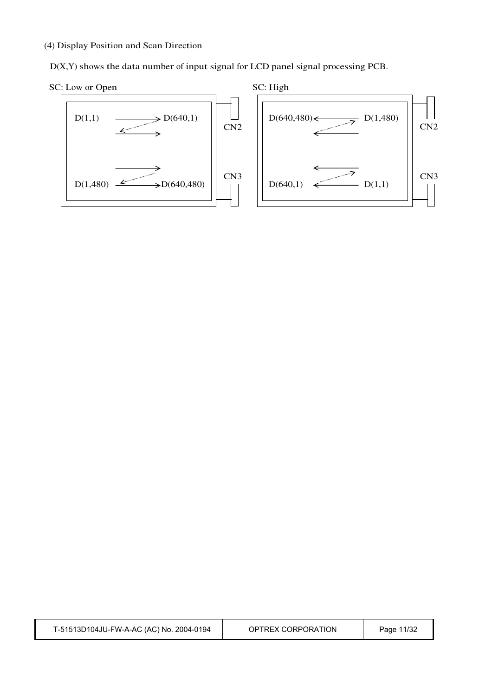(4) Display Position and Scan Direction

D(X,Y) shows the data number of input signal for LCD panel signal processing PCB.



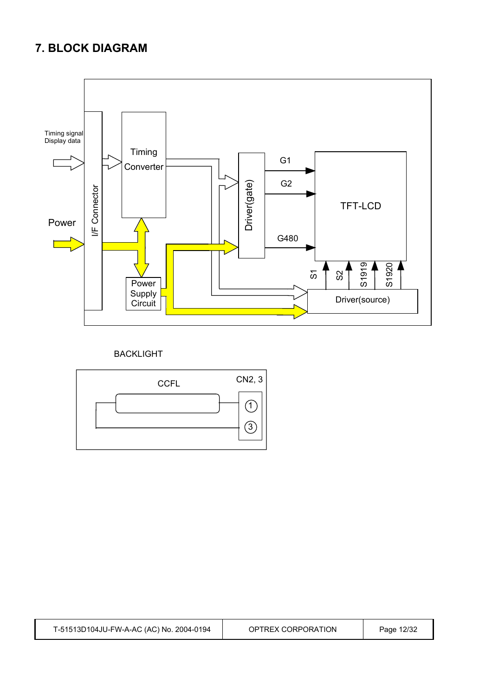## **7. BLOCK DIAGRAM**



## BACKLIGHT



T-51513D104JU-FW-A-AC (AC) No. 2004-0194 OPTREX CORPORATION Page 12/32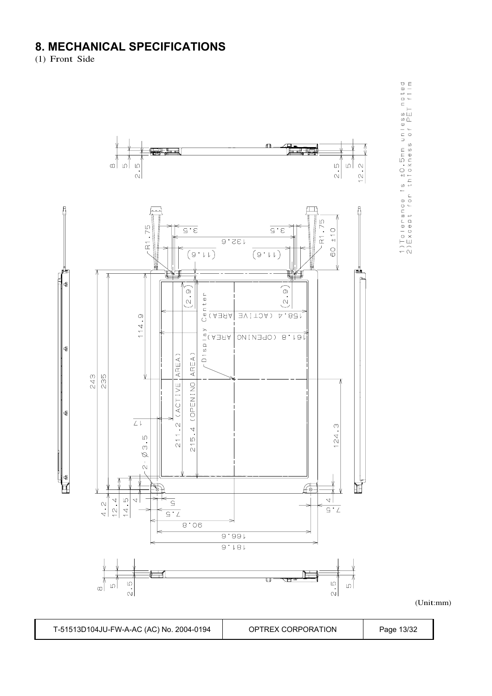## **8. MECHANICAL SPECIFICATIONS**

(1) Front Side



1)Tolerance Is ±0.5mm unless noted<br>2)Except for thickness of PET film

(Unit:mm)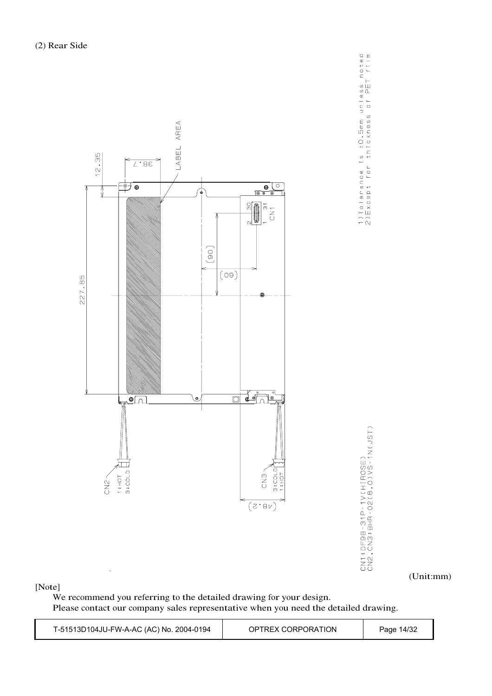

[Note]

We recommend you referring to the detailed drawing for your design. Please contact our company sales representative when you need the detailed drawing.

| T-51513D104JU-FW-A-AC (AC) No. 2004-0194 | OPTREX CORPORATION | Page 14/32 |
|------------------------------------------|--------------------|------------|
|------------------------------------------|--------------------|------------|

1)Tolerance is ±0.5mm unless noted<br>2)Except for thickness of PET film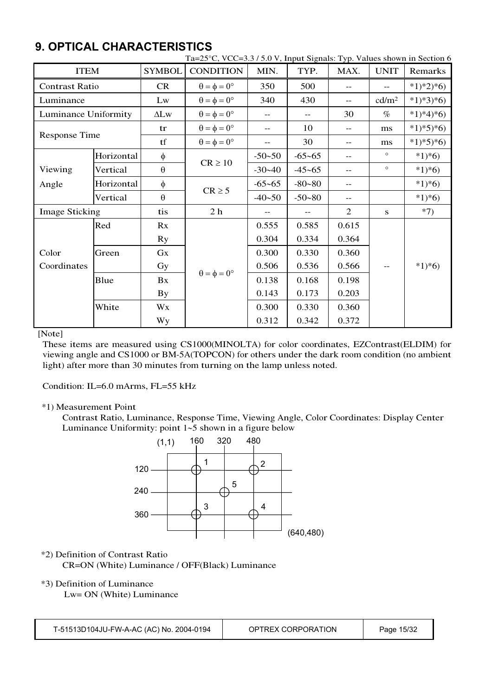## **9. OPTICAL CHARACTERISTICS**

|                       |            |               | Ta=25°C, VCC=3.3/5.0 V, Input Signals: Typ. Values shown in Section 6 |                   |                   |                |                   |           |
|-----------------------|------------|---------------|-----------------------------------------------------------------------|-------------------|-------------------|----------------|-------------------|-----------|
| <b>ITEM</b>           |            | <b>SYMBOL</b> | <b>CONDITION</b>                                                      | MIN.              | TYP.              | MAX.           | <b>UNIT</b>       | Remarks   |
| <b>Contrast Ratio</b> |            | CR            | $\theta = \phi = 0^{\circ}$                                           | 350               | 500               | $- -$          |                   | $*1)*2*6$ |
| Luminance             |            | Lw            | $\theta = \phi = 0^{\circ}$                                           | 340               | 430               | --             | cd/m <sup>2</sup> | $*1)*3*6$ |
| Luminance Uniformity  |            | $\Delta$ Lw   | $\theta = \phi = 0^{\circ}$                                           | $\qquad \qquad -$ | $\qquad \qquad -$ | 30             | $\%$              | $*1)*4*6$ |
| <b>Response Time</b>  |            | tr            | $\theta = \phi = 0^{\circ}$                                           | --                | 10                | --             | ms                | $*1)*5*6$ |
|                       |            | tf            | $\theta = \phi = 0^{\circ}$                                           | $- -$             | 30                | $-$            | ms                | $*1*5*6$  |
|                       | Horizontal | $\phi$        |                                                                       | $-50 - 50$        | $-65 - 65$        | --             | $\circ$           | $*1*6$    |
| Viewing               | Vertical   | $\theta$      | $CR \ge 10$                                                           | $-30-40$          | $-45 - 65$        | $-$            | $\circ$           | $*1*6$    |
| Angle                 | Horizontal | φ             |                                                                       | $-65-65$          | $-80 - 80$        | --             |                   | $*1*6$    |
|                       | Vertical   | $\theta$      | $CR \geq 5$                                                           | $-40 - 50$        | $-50 - 80$        | --             |                   | $*1*6$    |
| <b>Image Sticking</b> |            | tis           | 2 <sub>h</sub>                                                        |                   | $\qquad \qquad -$ | $\overline{2}$ | S                 | $*7)$     |
|                       | Red        | Rx            |                                                                       | 0.555             | 0.585             | 0.615          |                   |           |
|                       |            | Ry            |                                                                       | 0.304             | 0.334             | 0.364          |                   |           |
| Color                 | Green      | Gx            |                                                                       | 0.300             | 0.330             | 0.360          |                   |           |
| Coordinates           |            | Gy            | $\theta = \phi = 0^{\circ}$                                           | 0.506             | 0.536             | 0.566          |                   | $*1*6$    |
|                       | Blue       | Bx            |                                                                       | 0.138             | 0.168             | 0.198          |                   |           |
|                       |            | <b>By</b>     |                                                                       | 0.143             | 0.173             | 0.203          |                   |           |
|                       | White      | Wx            |                                                                       | 0.300             | 0.330             | 0.360          |                   |           |
|                       |            | Wy            |                                                                       | 0.312             | 0.342             | 0.372          |                   |           |

[Note]

These items are measured using CS1000(MINOLTA) for color coordinates, EZContrast(ELDIM) for viewing angle and CS1000 or BM-5A(TOPCON) for others under the dark room condition (no ambient light) after more than 30 minutes from turning on the lamp unless noted.

Condition: IL=6.0 mArms, FL=55 kHz

### \*1) Measurement Point

Contrast Ratio, Luminance, Response Time, Viewing Angle, Color Coordinates: Display Center Luminance Uniformity: point  $1-5$  shown in a figure below



#### \*2) Definition of Contrast Ratio CR=ON (White) Luminance / OFF(Black) Luminance

## \*3) Definition of Luminance

Lw= ON (White) Luminance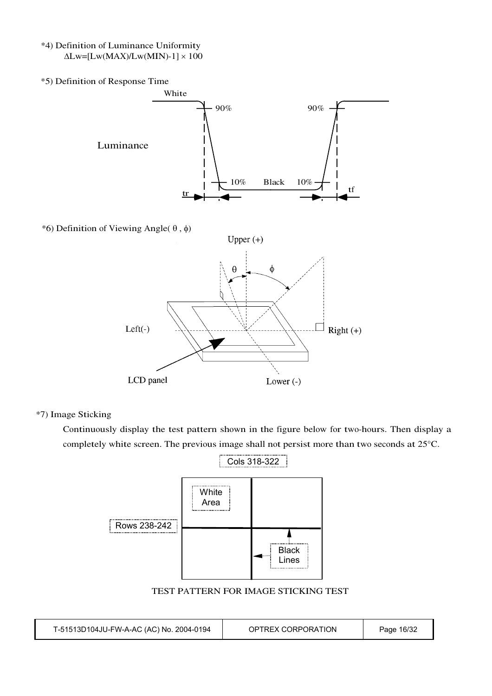- \*4) Definition of Luminance Uniformity  $\Delta$ Lw=[Lw(MAX)/Lw(MIN)-1]  $\times$  100
- \*5) Definition of Response Time White 90% 90% Luminance 10% Black 10%  $\begin{array}{c|c|c|c|c|c|c|c|c} \hline \text{tr} & \text{tr} & \text{tr} \end{array}$ \*6) Definition of Viewing Angle( $\theta$ , $\phi$ ) Upper $(+)$  $\phi$ θ  $Left(-)$  $\perp$  Right (+) LCD panel Lower $(-)$

\*7) Image Sticking

Continuously display the test pattern shown in the figure below for two-hours. Then display a completely white screen. The previous image shall not persist more than two seconds at 25°C.



TEST PATTERN FOR IMAGE STICKING TEST

| T-51513D104JU-FW-A-AC (AC) No. 2004-0194 | OPTREX CORPORATION | Page 16/32 |
|------------------------------------------|--------------------|------------|
|------------------------------------------|--------------------|------------|